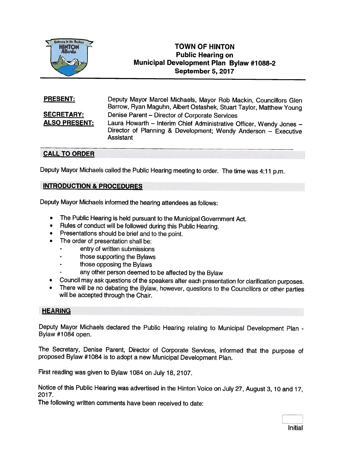

# **TOWN OF HINTON** Public Hearing on Municipal Development Plan Bylaw #7088-2 September 5, 2077

## **PRESENT:** Deputy Mayor Marcel Michaels, Mayor Rob Mackin, Councillors Glen Barrow, Ryan Maguhn, Albert Ostashek, Stuart Taylor, Matthew Young SECRETARY: Denise Parent — Director of Corporate Services ALSO PRESENT: Laura Howarth – Interim Chief Administrative Officer, Wendy Jones – Director of Planning & Development; Wendy Anderson — Executive **Assistant**

## CALL TO ORDER

Deputy Mayor Michaels called the Public Hearing meeting to order. The time was 4:11 p.m.

## INTRODUCTION & PROCEDURES

Deputy Mayor Michaels informed the hearing attendees as follows:

- •The Public Hearing is held pursuant to the Municipal Government Act.
- •Rules of conduct will be followed during this Public Hearing.
- Presentations should be brief and to the point.
- • The order of presentation shall be:
	- entry of written submissions
	- those supporting the Bylaws
	- those opposing the Bylaws
	- any other person deemed to be affected by the Bylaw
- •Council may ask questions of the speakers after each presentation for clarification purposes.
- •There will be no debating the Bylaw, however, questions to the Councillors or other parties will be accepted through the Chair.

## **HEARING**

Deputy Mayor Michaels declared the Public Hearing relating to Municipal Development Plan -<br>Bylaw #1084 open.

The Secretary, Denise Parent, Director of Corporate Services, informed that the purpose of proposed Bylaw #1084 is to adopt a new Municipal Development Plan.

First reading was <sup>g</sup>iven to Bylaw <sup>1084</sup> on July 18, 2107.

Notice of this Public Hearing was advertised in the Hinton Voice on July 27, August 3, <sup>10</sup> and 17, 2017.

The following written comments have been received to date: